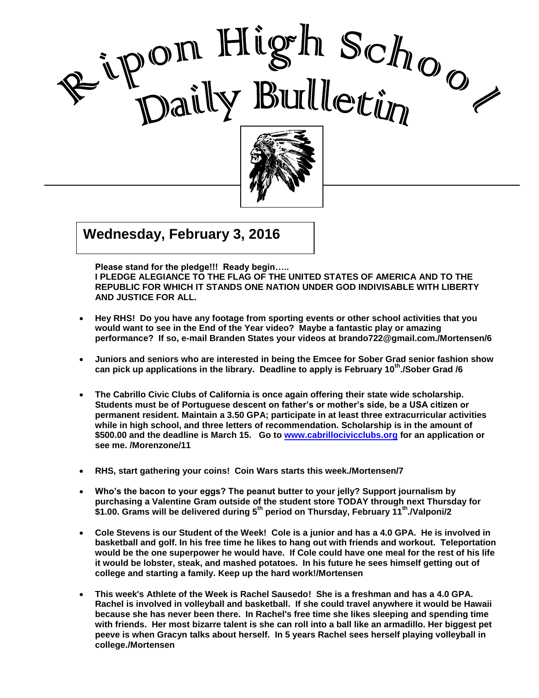



## $\overline{\mathbf{G}(\mathbf{G})}$  $\frac{1}{2}$  and  $\frac{1}{2}$  division  $\frac{1}{2}$ **Wednesday, February 3, 2016**

 **Please stand for the pledge!!! Ready begin….. I PLEDGE ALEGIANCE TO THE FLAG OF THE UNITED STATES OF AMERICA AND TO THE REPUBLIC FOR WHICH IT STANDS ONE NATION UNDER GOD INDIVISABLE WITH LIBERTY AND JUSTICE FOR ALL.**

- **Hey RHS! Do you have any footage from sporting events or other school activities that you would want to see in the End of the Year video? Maybe a fantastic play or amazing performance? If so, e-mail Branden States your videos at brando722@gmail.com./Mortensen/6**
- **Juniors and seniors who are interested in being the Emcee for Sober Grad senior fashion show can pick up applications in the library. Deadline to apply is February 10th./Sober Grad /6**
- **The Cabrillo Civic Clubs of California is once again offering their state wide scholarship. Students must be of Portuguese descent on father's or mother's side, be a USA citizen or permanent resident. Maintain a 3.50 GPA; participate in at least three extracurricular activities while in high school, and three letters of recommendation. Scholarship is in the amount of \$500.00 and the deadline is March 15. Go to [www.cabrillocivicclubs.org](http://www.cabrillocivicclubs.org/) for an application or see me. /Morenzone/11**
- **RHS, start gathering your coins! Coin Wars starts this week./Mortensen/7**
- **Who's the bacon to your eggs? The peanut butter to your jelly? Support journalism by purchasing a Valentine Gram outside of the student store TODAY through next Thursday for \$1.00. Grams will be delivered during 5th period on Thursday, February 11th ./Valponi/2**
- **Cole Stevens is our Student of the Week! Cole is a junior and has a 4.0 GPA. He is involved in basketball and golf. In his free time he likes to hang out with friends and workout. Teleportation would be the one superpower he would have. If Cole could have one meal for the rest of his life it would be lobster, steak, and mashed potatoes. In his future he sees himself getting out of college and starting a family. Keep up the hard work!/Mortensen**
- **This week's Athlete of the Week is Rachel Sausedo! She is a freshman and has a 4.0 GPA. Rachel is involved in volleyball and basketball. If she could travel anywhere it would be Hawaii because she has never been there. In Rachel's free time she likes sleeping and spending time with friends. Her most bizarre talent is she can roll into a ball like an armadillo. Her biggest pet peeve is when Gracyn talks about herself. In 5 years Rachel sees herself playing volleyball in college./Mortensen**